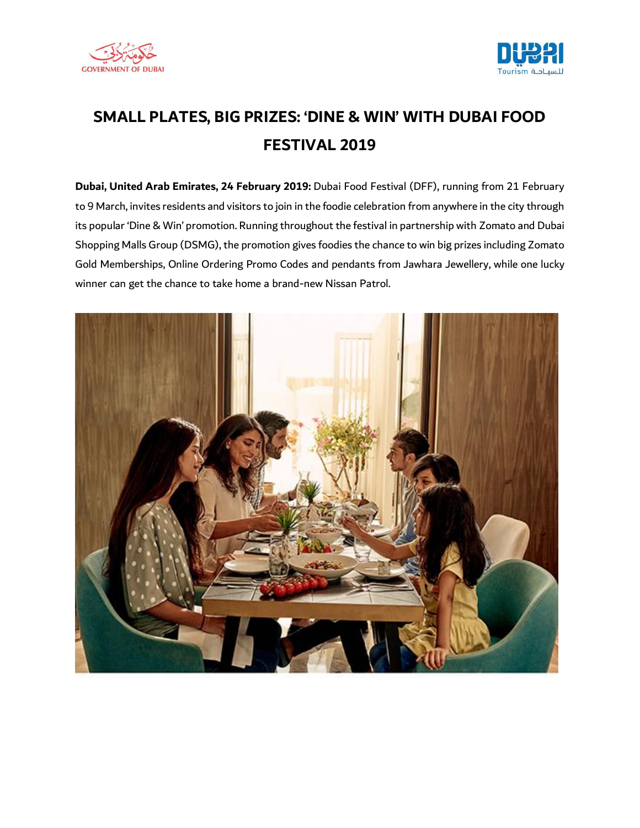



## **SMALL PLATES, BIG PRIZES: 'DINE & WIN' WITH DUBAI FOOD FESTIVAL 2019**

**Dubai, United Arab Emirates, 24 February 2019:** Dubai Food Festival (DFF), running from 21 February to 9 March, invites residents and visitors to join in the foodie celebration from anywhere in the city through its popular 'Dine & Win' promotion. Running throughout the festival in partnership with Zomato and Dubai Shopping Malls Group (DSMG), the promotion gives foodies the chance to win big prizes including Zomato Gold Memberships, Online Ordering Promo Codes and pendants from Jawhara Jewellery, while one lucky winner can get the chance to take home a brand-new Nissan Patrol.

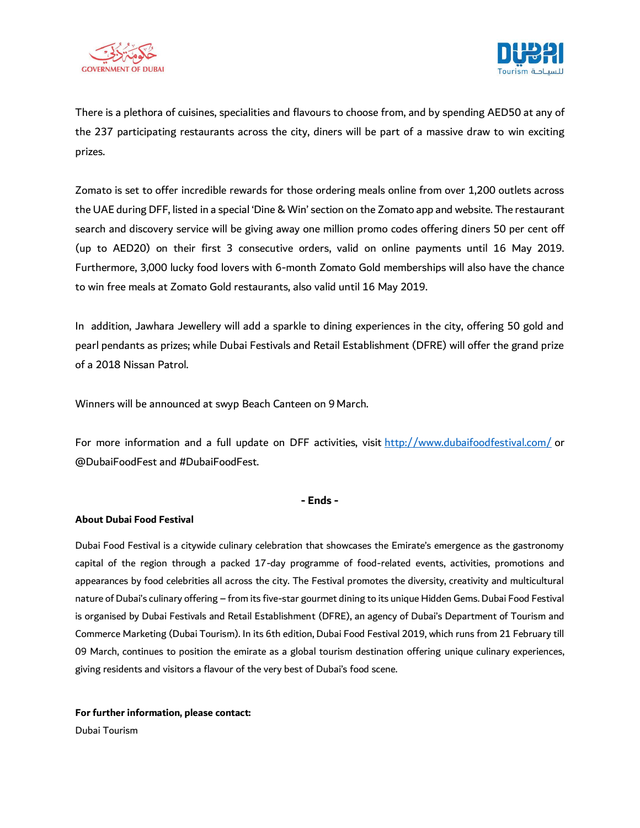



There is a plethora of cuisines, specialities and flavours to choose from, and by spending AED50 at any of the 237 participating restaurants across the city, diners will be part of a massive draw to win exciting prizes.

Zomato is set to offer incredible rewards for those ordering meals online from over 1,200 outlets across the UAE during DFF, listed in a special 'Dine & Win' section on the Zomato app and website. The restaurant search and discovery service will be giving away one million promo codes offering diners 50 per cent off (up to AED20) on their first 3 consecutive orders, valid on online payments until 16 May 2019. Furthermore, 3,000 lucky food lovers with 6-month Zomato Gold memberships will also have the chance to win free meals at Zomato Gold restaurants, also valid until 16 May 2019.

In addition, Jawhara Jewellery will add a sparkle to dining experiences in the city, offering 50 gold and pearl pendants as prizes; while Dubai Festivals and Retail Establishment (DFRE) will offer the grand prize of a 2018 Nissan Patrol.

Winners will be announced at swyp Beach Canteen on 9 March.

For more information and a full update on DFF activities, visit <http://www.dubaifoodfestival.com/> or @DubaiFoodFest and #DubaiFoodFest.

## **- Ends -**

## **About Dubai Food Festival**

Dubai Food Festival is a citywide culinary celebration that showcases the Emirate's emergence as the gastronomy capital of the region through a packed 17-day programme of food-related events, activities, promotions and appearances by food celebrities all across the city. The Festival promotes the diversity, creativity and multicultural nature of Dubai's culinary offering – from its five-star gourmet dining to its unique Hidden Gems. Dubai Food Festival is organised by Dubai Festivals and Retail Establishment (DFRE), an agency of Dubai's Department of Tourism and Commerce Marketing (Dubai Tourism). In its 6th edition, Dubai Food Festival 2019, which runs from 21 February till 09 March, continues to position the emirate as a global tourism destination offering unique culinary experiences, giving residents and visitors a flavour of the very best of Dubai's food scene.

**For further information, please contact:**

Dubai Tourism